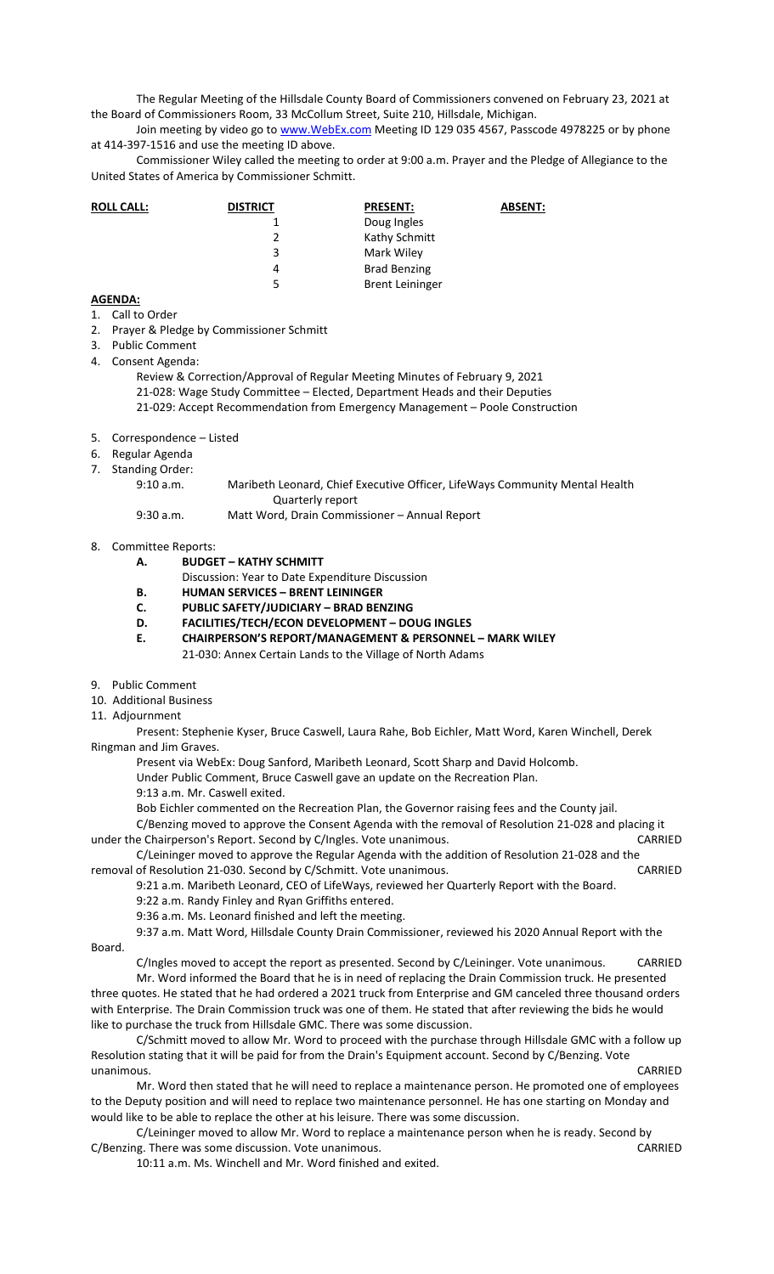The Regular Meeting of the Hillsdale County Board of Commissioners convened on February 23, 2021 at the Board of Commissioners Room, 33 McCollum Street, Suite 210, Hillsdale, Michigan.

Join meeting by video go to www. WebEx.com Meeting ID 129 035 4567, Passcode 4978225 or by phone at 414-397-1516 and use the meeting ID above.

Commissioner Wiley called the meeting to order at 9:00 a.m. Prayer and the Pledge of Allegiance to the United States of America by Commissioner Schmitt.

| <b>ROLL CALL:</b> | <b>DISTRICT</b> | <b>PRESENT:</b>        | <b>ABSENT:</b> |
|-------------------|-----------------|------------------------|----------------|
|                   |                 | Doug Ingles            |                |
|                   |                 | Kathy Schmitt          |                |
|                   | 3               | Mark Wiley             |                |
|                   | 4               | <b>Brad Benzing</b>    |                |
|                   | 5               | <b>Brent Leininger</b> |                |

## **AGENDA:**

- 1. Call to Order
- 2. Prayer & Pledge by Commissioner Schmitt
- 3. Public Comment
- 4. Consent Agenda:

Review & Correction/Approval of Regular Meeting Minutes of February 9, 2021 21-028: Wage Study Committee – Elected, Department Heads and their Deputies 21-029: Accept Recommendation from Emergency Management – Poole Construction

- 5. Correspondence Listed
- 6. Regular Agenda
- 7. Standing Order:

| 9:10 a.m. | Maribeth Leonard, Chief Executive Officer, LifeWays Community Mental Health |
|-----------|-----------------------------------------------------------------------------|
|           | Quarterly report                                                            |
| 9:30 a.m. | Matt Word, Drain Commissioner - Annual Report                               |

## 8. Committee Reports:

- **A. BUDGET KATHY SCHMITT**
- Discussion: Year to Date Expenditure Discussion
- **B. HUMAN SERVICES BRENT LEININGER**
- **C. PUBLIC SAFETY/JUDICIARY BRAD BENZING**
- **D. FACILITIES/TECH/ECON DEVELOPMENT DOUG INGLES**
- **E. CHAIRPERSON'S REPORT/MANAGEMENT & PERSONNEL MARK WILEY** 
	- 21-030: Annex Certain Lands to the Village of North Adams
- 9. Public Comment
- 10. Additional Business
- 11. Adjournment

Present: Stephenie Kyser, Bruce Caswell, Laura Rahe, Bob Eichler, Matt Word, Karen Winchell, Derek Ringman and Jim Graves.

Present via WebEx: Doug Sanford, Maribeth Leonard, Scott Sharp and David Holcomb.

Under Public Comment, Bruce Caswell gave an update on the Recreation Plan.

- 9:13 a.m. Mr. Caswell exited.
- Bob Eichler commented on the Recreation Plan, the Governor raising fees and the County jail.

C/Benzing moved to approve the Consent Agenda with the removal of Resolution 21-028 and placing it under the Chairperson's Report. Second by C/Ingles. Vote unanimous. CARRIED

C/Leininger moved to approve the Regular Agenda with the addition of Resolution 21-028 and the removal of Resolution 21-030. Second by C/Schmitt. Vote unanimous. CARRIED

9:21 a.m. Maribeth Leonard, CEO of LifeWays, reviewed her Quarterly Report with the Board.

- 9:22 a.m. Randy Finley and Ryan Griffiths entered.
- 9:36 a.m. Ms. Leonard finished and left the meeting.

9:37 a.m. Matt Word, Hillsdale County Drain Commissioner, reviewed his 2020 Annual Report with the Board.

C/Ingles moved to accept the report as presented. Second by C/Leininger. Vote unanimous. CARRIED

Mr. Word informed the Board that he is in need of replacing the Drain Commission truck. He presented three quotes. He stated that he had ordered a 2021 truck from Enterprise and GM canceled three thousand orders with Enterprise. The Drain Commission truck was one of them. He stated that after reviewing the bids he would like to purchase the truck from Hillsdale GMC. There was some discussion.

C/Schmitt moved to allow Mr. Word to proceed with the purchase through Hillsdale GMC with a follow up Resolution stating that it will be paid for from the Drain's Equipment account. Second by C/Benzing. Vote unanimous. CARRIED

Mr. Word then stated that he will need to replace a maintenance person. He promoted one of employees to the Deputy position and will need to replace two maintenance personnel. He has one starting on Monday and would like to be able to replace the other at his leisure. There was some discussion.

C/Leininger moved to allow Mr. Word to replace a maintenance person when he is ready. Second by C/Benzing. There was some discussion. Vote unanimous. CARRIED

10:11 a.m. Ms. Winchell and Mr. Word finished and exited.